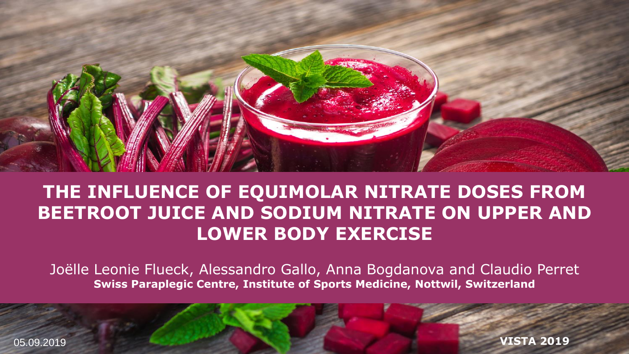

#### **THE INFLUENCE OF EQUIMOLAR NITRATE DOSES FROM BEETROOT JUICE AND SODIUM NITRATE ON UPPER AND LOWER BODY EXERCISE**

Joëlle Leonie Flueck, Alessandro Gallo, Anna Bogdanova and Claudio Perret **Swiss Paraplegic Centre, Institute of Sports Medicine, Nottwil, Switzerland** 

05.09.2019

**VISTA 2019**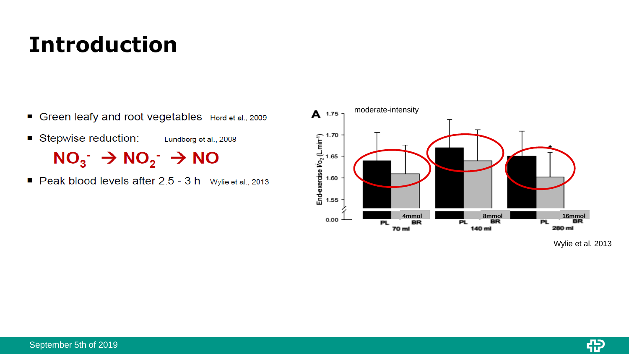## **Introduction**

- Green leafy and root vegetables Hord et al., 2009
- Stepwise reduction: Lundberg et al., 2008  $NO_3^ \rightarrow$   $NO_2^ \rightarrow$   $NO$
- Peak blood levels after 2.5 3 h Wylie et al., 2013



Wylie et al. 2013

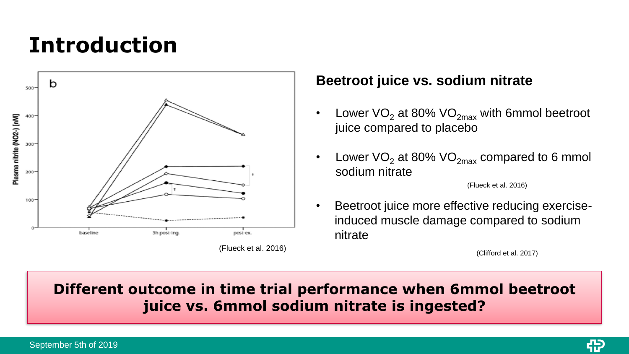## **Introduction**



#### **Beetroot juice vs. sodium nitrate**

- Lower  $VO<sub>2</sub>$  at 80%  $VO<sub>2</sub>$  with 6mmol beetroot juice compared to placebo
- Lower  $VO<sub>2</sub>$  at 80%  $VO<sub>2max</sub>$  compared to 6 mmol sodium nitrate

(Flueck et al. 2016)

• Beetroot juice more effective reducing exerciseinduced muscle damage compared to sodium nitrate

#### **Different outcome in time trial performance when 6mmol beetroot juice vs. 6mmol sodium nitrate is ingested?**

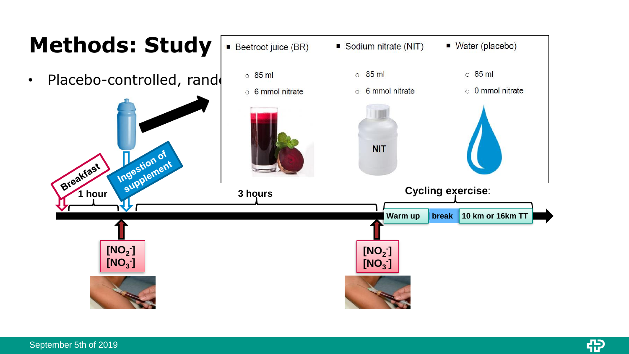

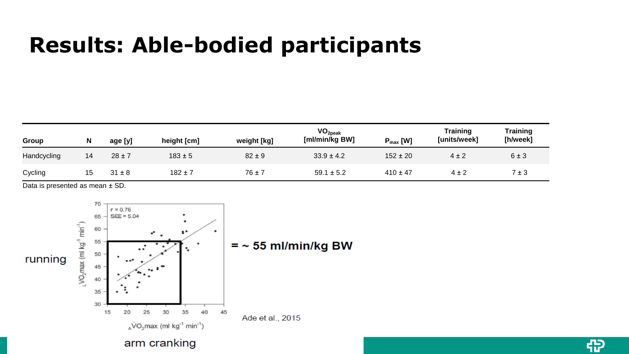### **Results: Able-bodied participants**

| Group       | N  | age [y]    | height [cm] | weight [kg] | VO <sub>2peak</sub><br>[ml/min/kg BW] | $P_{\text{max}}$ [W] | Training<br>[units/week] | Training<br>[h/week] |
|-------------|----|------------|-------------|-------------|---------------------------------------|----------------------|--------------------------|----------------------|
| Handcycling | 14 | $28 \pm 7$ | $183 \pm 5$ | $82 \pm 9$  | $33.9 \pm 4.2$                        | $152 \pm 20$         | $4 \pm 2$                | 6±3                  |
| Cycling     |    | 31 ± 8     | $182 \pm 7$ | $76 \pm 7$  | $59.1 \pm 5.2$                        | $410 \pm 47$         | $4 \pm 2$                | 7±3                  |

49

Data is presented as mean ± SD.

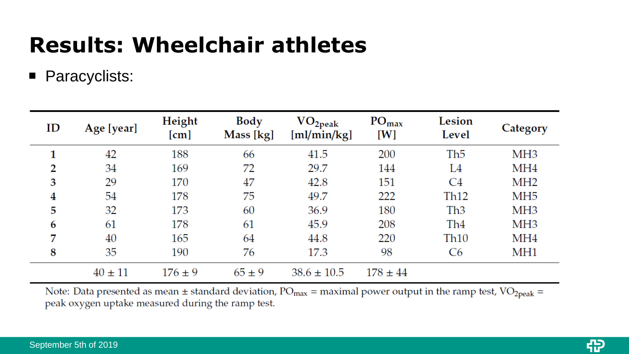## **Results: Wheelchair athletes**

**Paracyclists:** 

| ID | Age [year]  | Height<br>[cm] | Body<br>Mass [kg] | VO <sub>2peak</sub><br>[ml/min/kg] | $PO_{max}$<br>[W] | Lesion<br>Level  | Category        |
|----|-------------|----------------|-------------------|------------------------------------|-------------------|------------------|-----------------|
| 1  | 42          | 188            | 66                | 41.5                               | 200               | Th <sub>5</sub>  | MH <sub>3</sub> |
| 2  | 34          | 169            | 72                | 29.7                               | 144               | L4               | MH <sub>4</sub> |
| 3  | 29          | 170            | 47                | 42.8                               | 151               | C <sub>4</sub>   | MH <sub>2</sub> |
| 4  | 54          | 178            | 75                | 49.7                               | 222               | Th <sub>12</sub> | MH <sub>5</sub> |
| 5  | 32          | 173            | 60                | 36.9                               | 180               | Th <sub>3</sub>  | MH <sub>3</sub> |
| 6  | 61          | 178            | 61                | 45.9                               | 208               | Th <sub>4</sub>  | MH <sub>3</sub> |
| 7  | 40          | 165            | 64                | 44.8                               | 220               | Th <sub>10</sub> | MH4             |
| 8  | 35          | 190            | 76                | 17.3                               | 98                | C <sub>6</sub>   | MH1             |
|    | $40 \pm 11$ | $176 \pm 9$    | $65 \pm 9$        | $38.6 \pm 10.5$                    | $178 \pm 44$      |                  |                 |

Note: Data presented as mean  $\pm$  standard deviation, PO<sub>max</sub> = maximal power output in the ramp test, VO<sub>2peak</sub> = peak oxygen uptake measured during the ramp test.

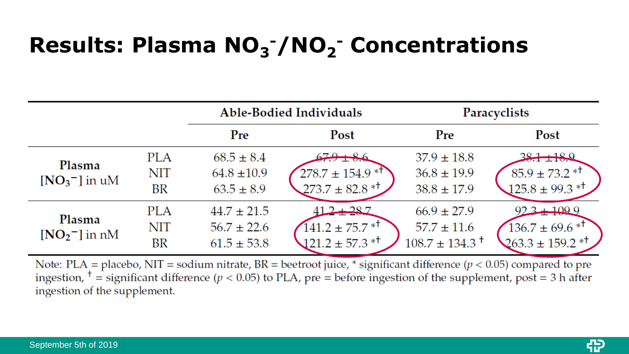# **Results: Plasma NO<sup>3</sup> -/NO<sup>2</sup> - Concentrations**

|                                         |                                |                                                       | <b>Able-Bodied Individuals</b>                                                  | Paracyclists                                                         |                                                                                       |  |
|-----------------------------------------|--------------------------------|-------------------------------------------------------|---------------------------------------------------------------------------------|----------------------------------------------------------------------|---------------------------------------------------------------------------------------|--|
|                                         |                                | Pre                                                   | Post                                                                            | Pre                                                                  | Post                                                                                  |  |
| Plasma<br>$[NO3$ <sup>-</sup> $]$ in uM | <b>PLA</b><br><b>NIT</b><br>BR | $68.5 \pm 8.4$<br>$64.8 \pm 10.9$<br>$63.5 \pm 8.9$   | $278.7 \pm 154.9$ * <sup>†</sup><br>$273.7 \pm 82.8$ * <sup>†</sup>             | $37.9 \pm 18.8$<br>$36.8 \pm 19.9$<br>$38.8 \pm 17.9$                | $85.9 \pm 73.2$ * <sup>†</sup><br>$125.8 \pm 99.3$ * <sup>†</sup>                     |  |
| Plasma<br>$[NO2$ <sup>-</sup> $]$ in nM | <b>PLA</b><br><b>NIT</b><br>BR | $44.7 \pm 21.5$<br>$56.7 \pm 22.6$<br>$61.5 \pm 53.8$ | $2 + 287$<br>$141.2 \pm 75.7$ * <sup>†</sup><br>$121.2 \pm 57.3$ * <sup>†</sup> | $66.9 \pm 27.9$<br>$57.7 \pm 11.6$<br>$108.7 \pm 134.3$ <sup>+</sup> | $92.3 + 109.9$<br>$136.7 \pm 69.6$ * <sup>†</sup><br>$263.3 \pm 159.2$ * <sup>†</sup> |  |

Note: PLA = placebo, NIT = sodium nitrate, BR = beetroot juice, \* significant difference ( $p < 0.05$ ) compared to pre ingestion,  $\frac{1}{1}$  = significant difference ( $p < 0.05$ ) to PLA, pre = before ingestion of the supplement, post = 3 h after ingestion of the supplement.

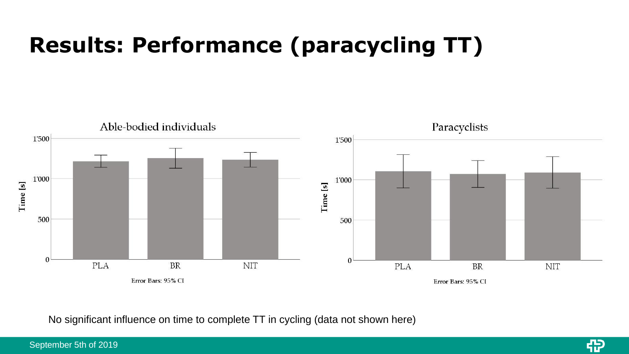# **Results: Performance (paracycling TT)**



No significant influence on time to complete TT in cycling (data not shown here)

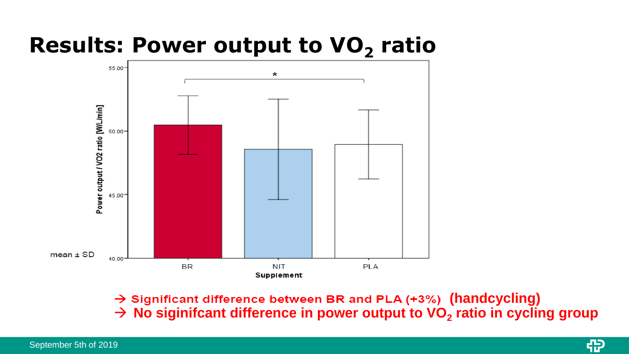### **Results: Power output to VO<sup>2</sup> ratio**



→ Significant difference between BR and PLA (+3%) (handcycling) → **No siginifcant difference in power output to VO<sup>2</sup> ratio in cycling group**

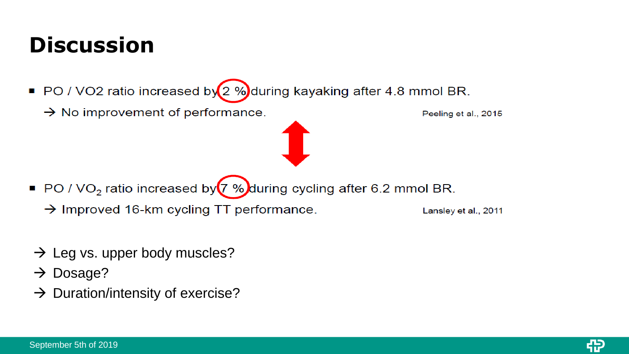## **Discussion**

- PO / VO2 ratio increased by  $(2 \%)$ during kayaking after 4.8 mmol BR.
	- $\rightarrow$  No improvement of performance.

Peeling et al., 2015

- PO / VO<sub>2</sub> ratio increased by  $(7\%)$  during cycling after 6.2 mmol BR.
	- $\rightarrow$  Improved 16-km cycling TT performance.

Lansley et al., 2011

- $\rightarrow$  Leg vs. upper body muscles?
- $\rightarrow$  Dosage?
- $\rightarrow$  Duration/intensity of exercise?